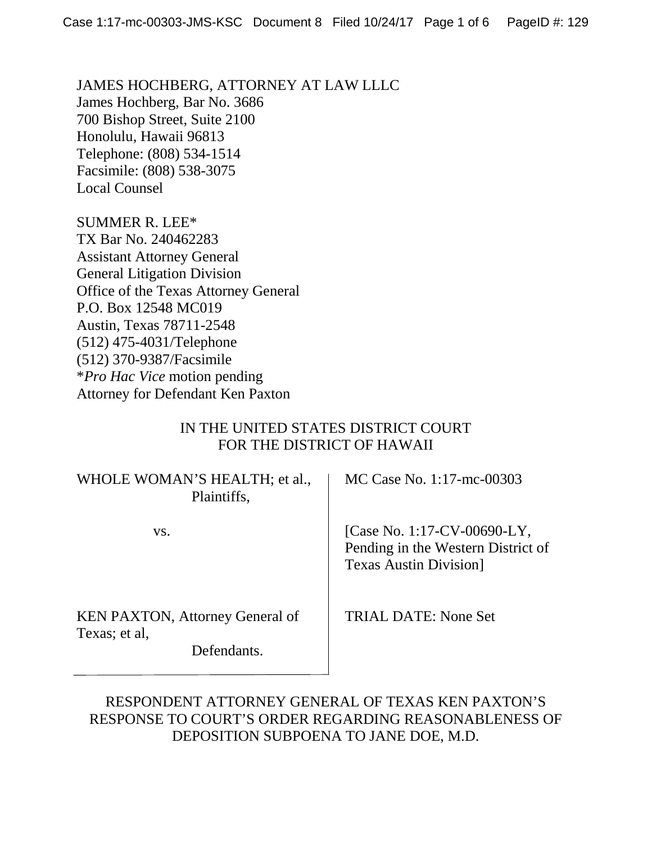JAMES HOCHBERG, ATTORNEY AT LAW LLLC James Hochberg, Bar No. 3686 700 Bishop Street, Suite 2100 Honolulu, Hawaii 96813 Telephone: (808) 534-1514 Facsimile: (808) 538-3075 Local Counsel

SUMMER R. LEE\* TX Bar No. 240462283 Assistant Attorney General General Litigation Division Office of the Texas Attorney General P.O. Box 12548 MC019 Austin, Texas 78711-2548 (512) 475-4031/Telephone (512) 370-9387/Facsimile \**Pro Hac Vice* motion pending Attorney for Defendant Ken Paxton

# IN THE UNITED STATES DISTRICT COURT FOR THE DISTRICT OF HAWAII

| WHOLE WOMAN'S HEALTH; et al.,<br>Plaintiffs,                           | MC Case No. 1:17-mc-00303                                                                           |
|------------------------------------------------------------------------|-----------------------------------------------------------------------------------------------------|
| VS.                                                                    | [Case No. 1:17-CV-00690-LY,<br>Pending in the Western District of<br><b>Texas Austin Division</b> ] |
| <b>KEN PAXTON, Attorney General of</b><br>Texas; et al,<br>Defendants. | TRIAL DATE: None Set                                                                                |

# RESPONDENT ATTORNEY GENERAL OF TEXAS KEN PAXTON'S RESPONSE TO COURT'S ORDER REGARDING REASONABLENESS OF DEPOSITION SUBPOENA TO JANE DOE, M.D.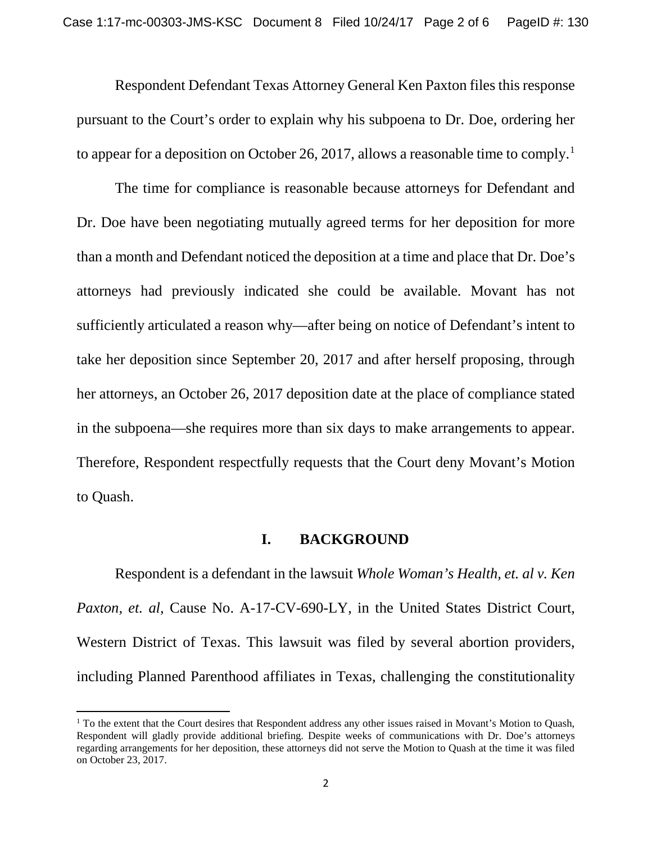Respondent Defendant Texas Attorney General Ken Paxton files this response pursuant to the Court's order to explain why his subpoena to Dr. Doe, ordering her to appear for a deposition on October 26, 20[1](#page-1-0)7, allows a reasonable time to comply.<sup>1</sup>

The time for compliance is reasonable because attorneys for Defendant and Dr. Doe have been negotiating mutually agreed terms for her deposition for more than a month and Defendant noticed the deposition at a time and place that Dr. Doe's attorneys had previously indicated she could be available. Movant has not sufficiently articulated a reason why—after being on notice of Defendant's intent to take her deposition since September 20, 2017 and after herself proposing, through her attorneys, an October 26, 2017 deposition date at the place of compliance stated in the subpoena—she requires more than six days to make arrangements to appear. Therefore, Respondent respectfully requests that the Court deny Movant's Motion to Quash.

## **I. BACKGROUND**

Respondent is a defendant in the lawsuit *Whole Woman's Health, et. al v. Ken Paxton, et. al, Cause No. A-17-CV-690-LY, in the United States District Court,* Western District of Texas. This lawsuit was filed by several abortion providers, including Planned Parenthood affiliates in Texas, challenging the constitutionality

l

<span id="page-1-0"></span><sup>&</sup>lt;sup>1</sup> To the extent that the Court desires that Respondent address any other issues raised in Movant's Motion to Quash, Respondent will gladly provide additional briefing. Despite weeks of communications with Dr. Doe's attorneys regarding arrangements for her deposition, these attorneys did not serve the Motion to Quash at the time it was filed on October 23, 2017.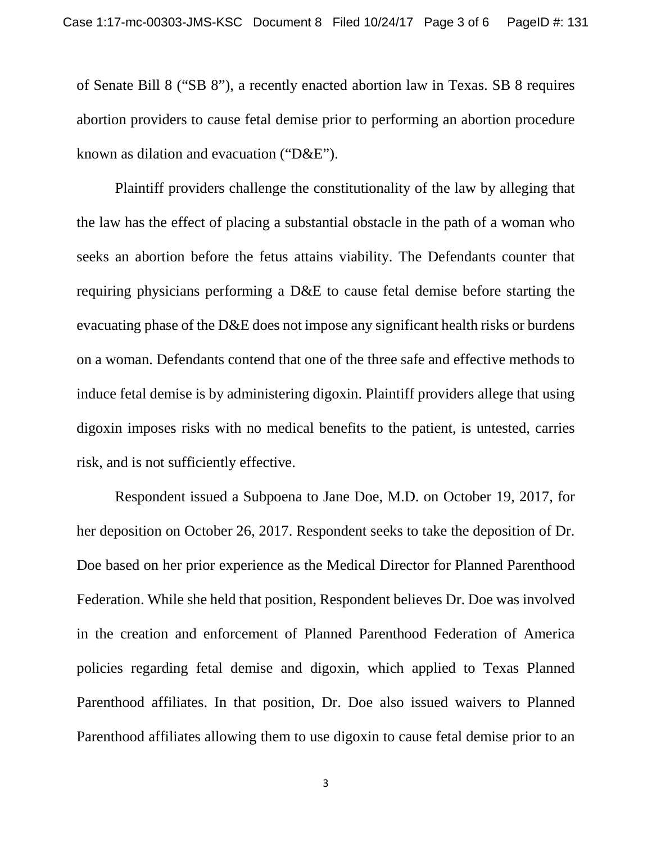of Senate Bill 8 ("SB 8"), a recently enacted abortion law in Texas. SB 8 requires abortion providers to cause fetal demise prior to performing an abortion procedure known as dilation and evacuation ("D&E").

Plaintiff providers challenge the constitutionality of the law by alleging that the law has the effect of placing a substantial obstacle in the path of a woman who seeks an abortion before the fetus attains viability. The Defendants counter that requiring physicians performing a D&E to cause fetal demise before starting the evacuating phase of the D&E does not impose any significant health risks or burdens on a woman. Defendants contend that one of the three safe and effective methods to induce fetal demise is by administering digoxin. Plaintiff providers allege that using digoxin imposes risks with no medical benefits to the patient, is untested, carries risk, and is not sufficiently effective.

Respondent issued a Subpoena to Jane Doe, M.D. on October 19, 2017, for her deposition on October 26, 2017. Respondent seeks to take the deposition of Dr. Doe based on her prior experience as the Medical Director for Planned Parenthood Federation. While she held that position, Respondent believes Dr. Doe was involved in the creation and enforcement of Planned Parenthood Federation of America policies regarding fetal demise and digoxin, which applied to Texas Planned Parenthood affiliates. In that position, Dr. Doe also issued waivers to Planned Parenthood affiliates allowing them to use digoxin to cause fetal demise prior to an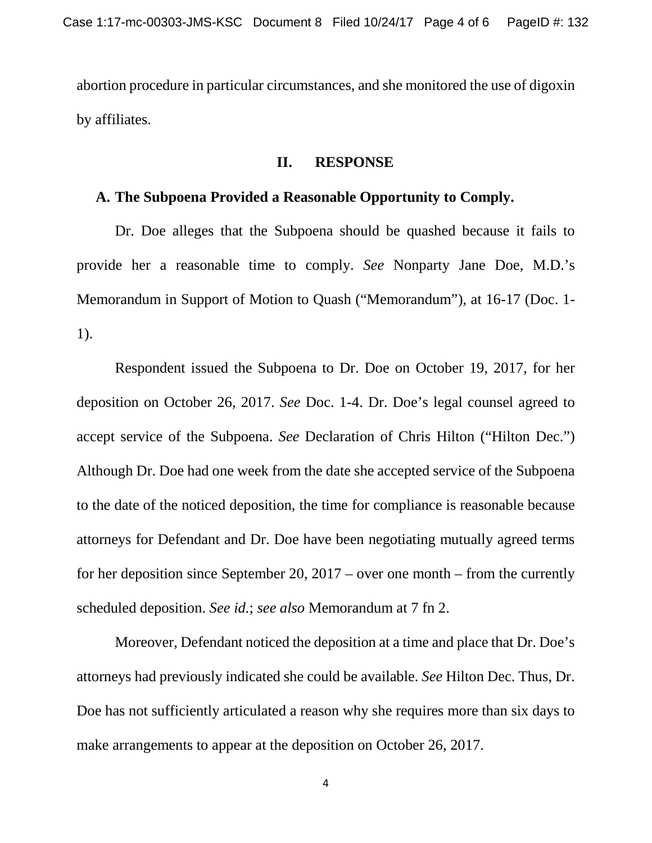abortion procedure in particular circumstances, and she monitored the use of digoxin by affiliates.

## **II. RESPONSE**

# **A. The Subpoena Provided a Reasonable Opportunity to Comply.**

Dr. Doe alleges that the Subpoena should be quashed because it fails to provide her a reasonable time to comply. *See* Nonparty Jane Doe, M.D.'s Memorandum in Support of Motion to Quash ("Memorandum"), at 16-17 (Doc. 1- 1).

Respondent issued the Subpoena to Dr. Doe on October 19, 2017, for her deposition on October 26, 2017. *See* Doc. 1-4. Dr. Doe's legal counsel agreed to accept service of the Subpoena. *See* Declaration of Chris Hilton ("Hilton Dec.") Although Dr. Doe had one week from the date she accepted service of the Subpoena to the date of the noticed deposition, the time for compliance is reasonable because attorneys for Defendant and Dr. Doe have been negotiating mutually agreed terms for her deposition since September 20, 2017 – over one month – from the currently scheduled deposition. *See id.*; *see also* Memorandum at 7 fn 2.

Moreover, Defendant noticed the deposition at a time and place that Dr. Doe's attorneys had previously indicated she could be available. *See* Hilton Dec. Thus, Dr. Doe has not sufficiently articulated a reason why she requires more than six days to make arrangements to appear at the deposition on October 26, 2017.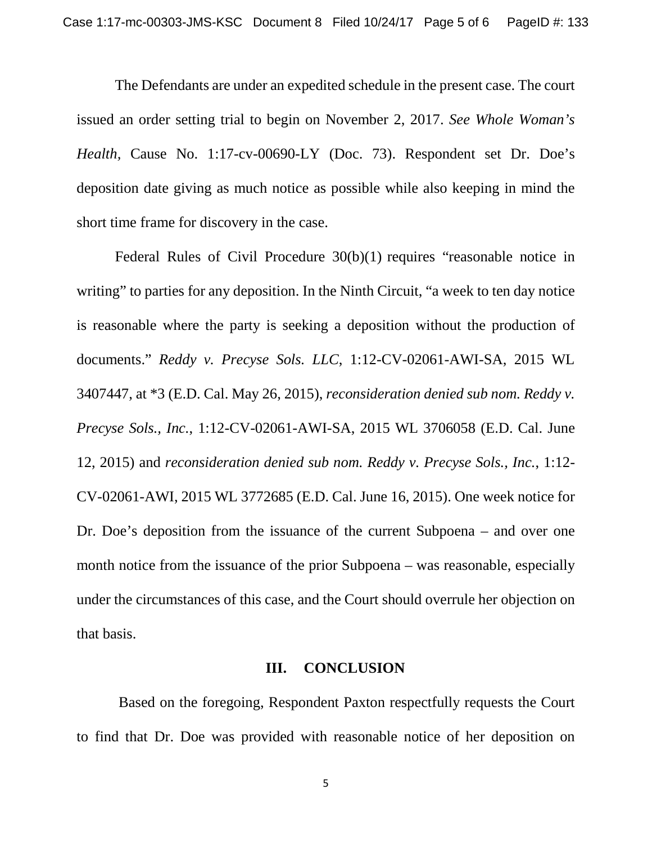The Defendants are under an expedited schedule in the present case. The court issued an order setting trial to begin on November 2, 2017. *See Whole Woman's Health,* Cause No. 1:17-cv-00690-LY (Doc. 73). Respondent set Dr. Doe's deposition date giving as much notice as possible while also keeping in mind the short time frame for discovery in the case.

Federal Rules of Civil Procedure 30(b)(1) requires "reasonable notice in writing" to parties for any deposition. In the Ninth Circuit, "a week to ten day notice is reasonable where the party is seeking a deposition without the production of documents." *Reddy v. Precyse Sols. LLC*, 1:12-CV-02061-AWI-SA, 2015 WL 3407447, at \*3 (E.D. Cal. May 26, 2015), *reconsideration denied sub nom. Reddy v. Precyse Sols., Inc.*, 1:12-CV-02061-AWI-SA, 2015 WL 3706058 (E.D. Cal. June 12, 2015) and *reconsideration denied sub nom. Reddy v. Precyse Sols., Inc.*, 1:12- CV-02061-AWI, 2015 WL 3772685 (E.D. Cal. June 16, 2015). One week notice for Dr. Doe's deposition from the issuance of the current Subpoena – and over one month notice from the issuance of the prior Subpoena – was reasonable, especially under the circumstances of this case, and the Court should overrule her objection on that basis.

## **III. CONCLUSION**

Based on the foregoing, Respondent Paxton respectfully requests the Court to find that Dr. Doe was provided with reasonable notice of her deposition on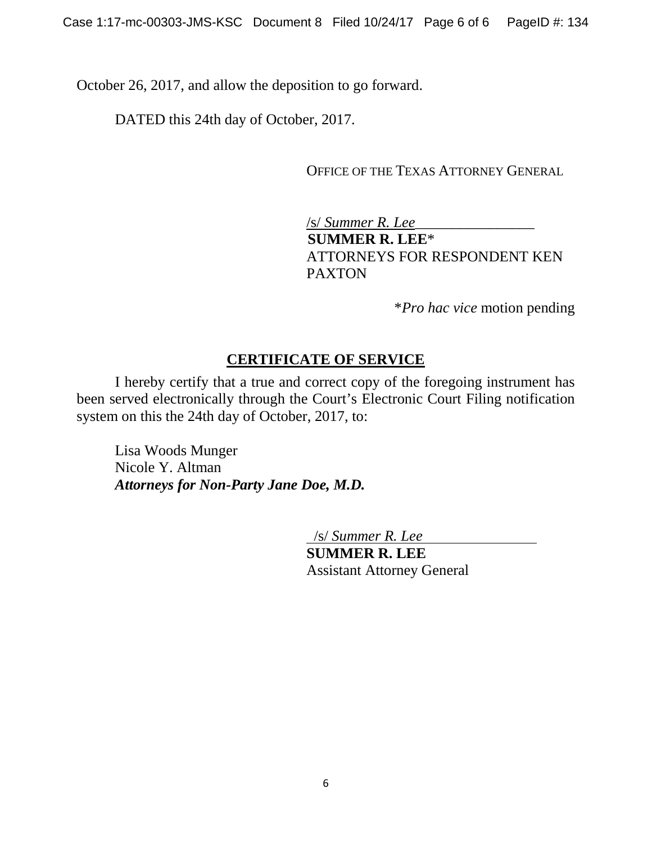October 26, 2017, and allow the deposition to go forward.

DATED this 24th day of October, 2017.

OFFICE OF THE TEXAS ATTORNEY GENERAL

/s/ *Summer R. Lee*\_\_\_\_\_\_\_\_\_\_\_\_\_\_\_\_  **SUMMER R. LEE**\* ATTORNEYS FOR RESPONDENT KEN PAXTON

\**Pro hac vice* motion pending

# **CERTIFICATE OF SERVICE**

I hereby certify that a true and correct copy of the foregoing instrument has been served electronically through the Court's Electronic Court Filing notification system on this the 24th day of October, 2017, to:

Lisa Woods Munger Nicole Y. Altman *Attorneys for Non-Party Jane Doe, M.D.*

/s/ *Summer R. Lee*

**SUMMER R. LEE** Assistant Attorney General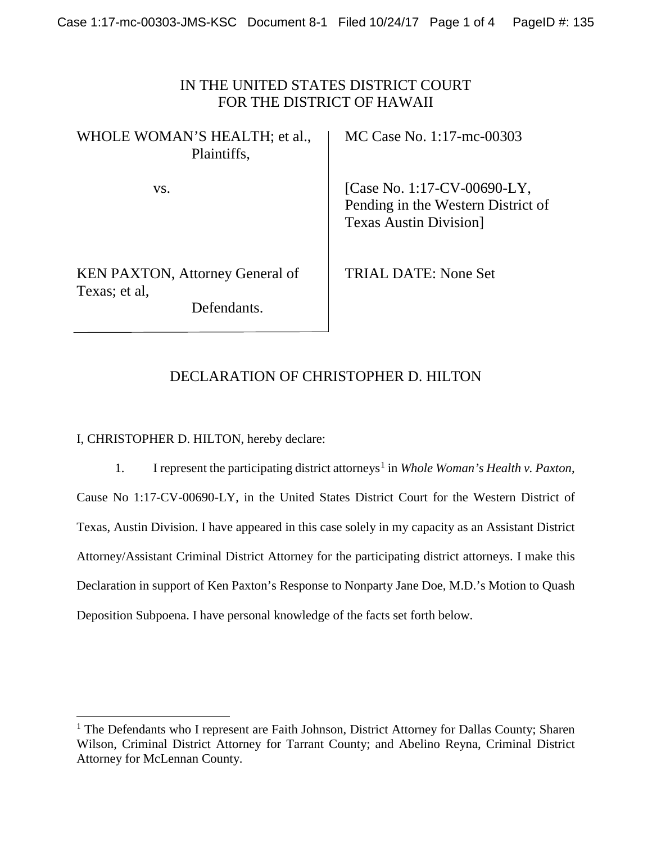# IN THE UNITED STATES DISTRICT COURT FOR THE DISTRICT OF HAWAII

| WHOLE WOMAN'S HEALTH; et al.,<br>Plaintiffs,                           | <b>MC Cas</b>                    |
|------------------------------------------------------------------------|----------------------------------|
| VS.                                                                    | [Case N]<br>Pending<br>Texas $A$ |
| <b>KEN PAXTON, Attorney General of</b><br>Texas; et al.<br>Defendants. | <b>TRIAL</b>                     |

se No. 1:17-mc-00303

 $\rm No. 1:17$ -CV-00690-LY, g in the Western District of Austin Division]

DATE: None Set

# DECLARATION OF CHRISTOPHER D. HILTON

I, CHRISTOPHER D. HILTON, hereby declare:

l

[1](#page-6-0). I represent the participating district attorneys<sup>1</sup> in *Whole Woman's Health v. Paxton*, Cause No 1:17-CV-00690-LY, in the United States District Court for the Western District of Texas, Austin Division. I have appeared in this case solely in my capacity as an Assistant District Attorney/Assistant Criminal District Attorney for the participating district attorneys. I make this Declaration in support of Ken Paxton's Response to Nonparty Jane Doe, M.D.'s Motion to Quash Deposition Subpoena. I have personal knowledge of the facts set forth below.

<span id="page-6-0"></span> $<sup>1</sup>$  The Defendants who I represent are Faith Johnson, District Attorney for Dallas County; Sharen</sup> Wilson, Criminal District Attorney for Tarrant County; and Abelino Reyna, Criminal District Attorney for McLennan County.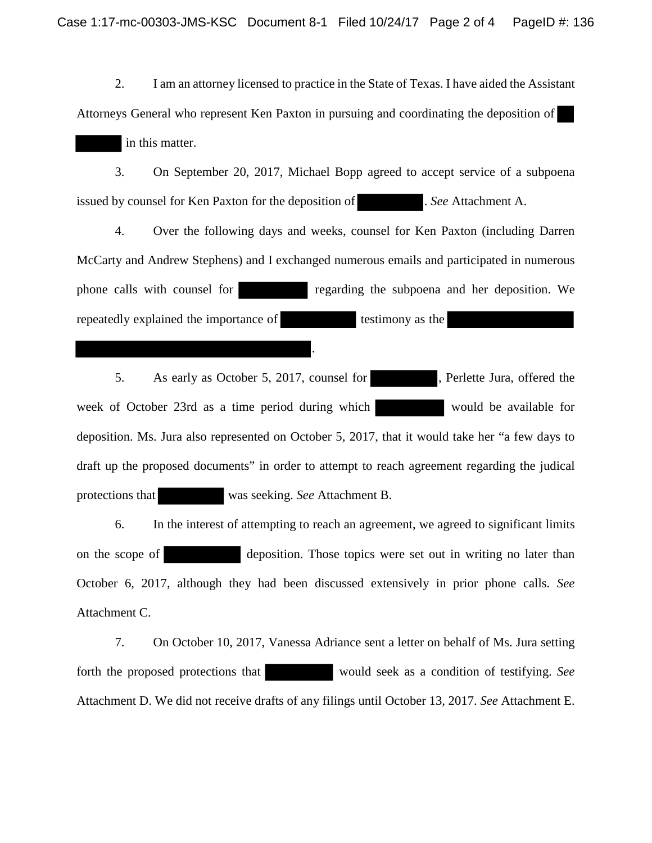2. I am an attorney licensed to practice in the State of Texas. I have aided the Assistant Attorneys General who represent Ken Paxton in pursuing and coordinating the deposition of in this matter.

3. On September 20, 2017, Michael Bopp agreed to accept service of a subpoena issued by counsel for Ken Paxton for the deposition of . *See* Attachment A.

4. Over the following days and weeks, counsel for Ken Paxton (including Darren McCarty and Andrew Stephens) and I exchanged numerous emails and participated in numerous phone calls with counsel for regarding the subpoena and her deposition. We repeatedly explained the importance of testimony as the

.

5. As early as October 5, 2017, counsel for , Perlette Jura, offered the week of October 23rd as a time period during which would be available for deposition. Ms. Jura also represented on October 5, 2017, that it would take her "a few days to draft up the proposed documents" in order to attempt to reach agreement regarding the judical protections that was seeking. *See* Attachment B.

6. In the interest of attempting to reach an agreement, we agreed to significant limits on the scope of deposition. Those topics were set out in writing no later than October 6, 2017, although they had been discussed extensively in prior phone calls. *See* Attachment C.

7. On October 10, 2017, Vanessa Adriance sent a letter on behalf of Ms. Jura setting forth the proposed protections that would seek as a condition of testifying. *See* Attachment D. We did not receive drafts of any filings until October 13, 2017. *See* Attachment E.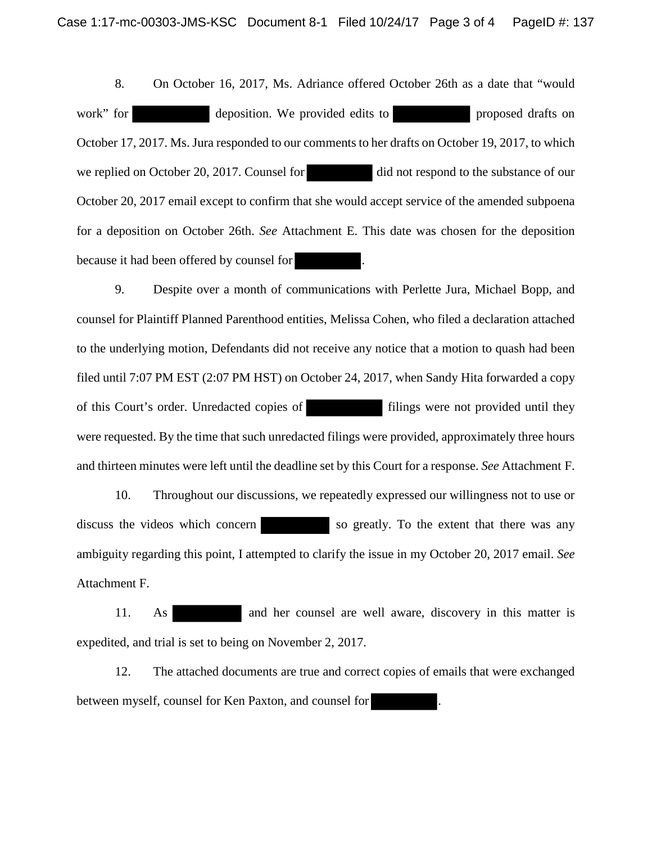8. On October 16, 2017, Ms. Adriance offered October 26th as a date that "would work" for deposition. We provided edits to proposed drafts on October 17, 2017. Ms. Jura responded to our comments to her drafts on October 19, 2017, to which we replied on October 20, 2017. Counsel for did not respond to the substance of our October 20, 2017 email except to confirm that she would accept service of the amended subpoena for a deposition on October 26th. *See* Attachment E. This date was chosen for the deposition because it had been offered by counsel for .

9. Despite over a month of communications with Perlette Jura, Michael Bopp, and counsel for Plaintiff Planned Parenthood entities, Melissa Cohen, who filed a declaration attached to the underlying motion, Defendants did not receive any notice that a motion to quash had been filed until 7:07 PM EST (2:07 PM HST) on October 24, 2017, when Sandy Hita forwarded a copy of this Court's order. Unredacted copies of filings were not provided until they were requested. By the time that such unredacted filings were provided, approximately three hours and thirteen minutes were left until the deadline set by this Court for a response. *See* Attachment F.

10. Throughout our discussions, we repeatedly expressed our willingness not to use or discuss the videos which concern so greatly. To the extent that there was any ambiguity regarding this point, I attempted to clarify the issue in my October 20, 2017 email. *See* Attachment F.

11. As and her counsel are well aware, discovery in this matter is expedited, and trial is set to being on November 2, 2017.

12. The attached documents are true and correct copies of emails that were exchanged between myself, counsel for Ken Paxton, and counsel for .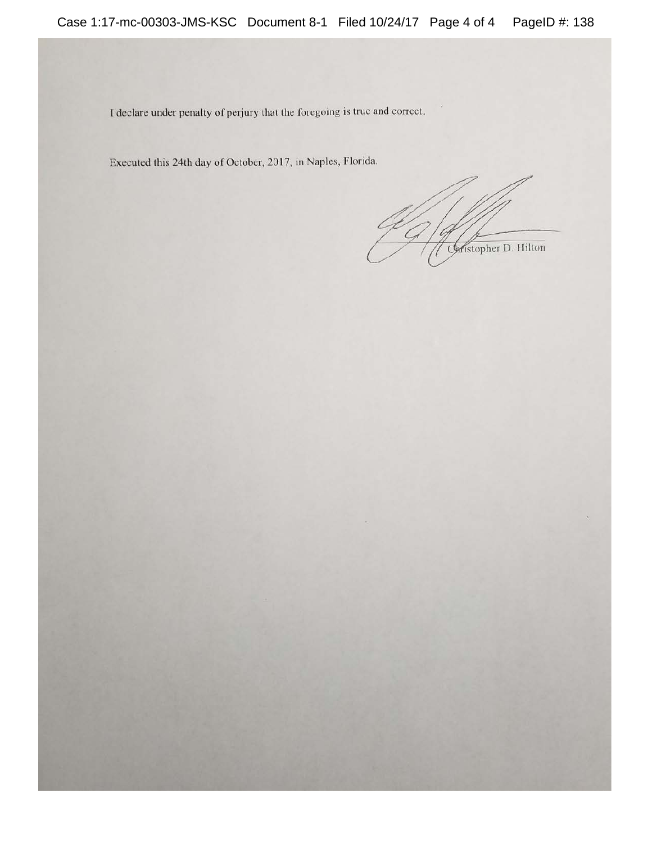I declare under penalty of perjury that the foregoing is true and correct.

Executed this 24th day of October, 2017, in Naples, Florida.

Caristopher D. Hilton

 $\beta$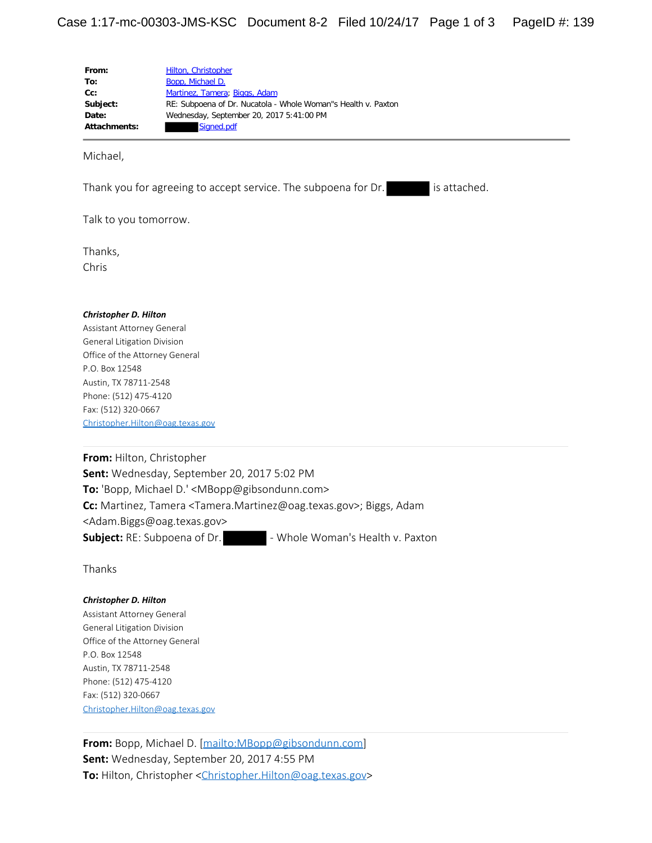| From:               | Hilton, Christopher                                           |
|---------------------|---------------------------------------------------------------|
| To:                 | Bopp, Michael D.                                              |
| $Cc$ :              | Martinez, Tamera; Biggs, Adam                                 |
| Subject:            | RE: Subpoena of Dr. Nucatola - Whole Woman"s Health v. Paxton |
| Date:               | Wednesday, September 20, 2017 5:41:00 PM                      |
| <b>Attachments:</b> | Signed.pdf                                                    |

Michael,

Thank you for agreeing to accept service. The subpoena for Dr. is attached.

Talk to you tomorrow.

Thanks, Chris

#### *Christopher D. Hilton*

Assistant Attorney General General Litigation Division Office of the Attorney General P.O. Box 12548 Austin, TX 78711-2548 Phone: (512) 475-4120 Fax: (512) 320-0667 [Christopher.Hilton@oag.texas.gov](mailto:Christopher.Hilton@oag.texas.gov)

**From:** Hilton, Christopher **Sent:** Wednesday, September 20, 2017 5:02 PM **To:** 'Bopp, Michael D.' <MBopp@gibsondunn.com> **Cc:** Martinez, Tamera <Tamera.Martinez@oag.texas.gov>; Biggs, Adam <Adam.Biggs@oag.texas.gov> **Subject:** RE: Subpoena of Dr. **- Whole Woman's Health v. Paxton** 

Thanks

#### *Christopher D. Hilton*

Assistant Attorney General General Litigation Division Office of the Attorney General P.O. Box 12548 Austin, TX 78711-2548 Phone: (512) 475-4120 Fax: (512) 320-0667 [Christopher.Hilton@oag.texas.gov](mailto:Christopher.Hilton@oag.texas.gov)

**From:** Bopp, Michael D. [[mailto:MBopp@gibsondunn.com\]](mailto:MBopp@gibsondunn.com) **Sent:** Wednesday, September 20, 2017 4:55 PM **To:** Hilton, Christopher [<Christopher.Hilton@oag.texas.gov](mailto:Christopher.Hilton@oag.texas.gov)>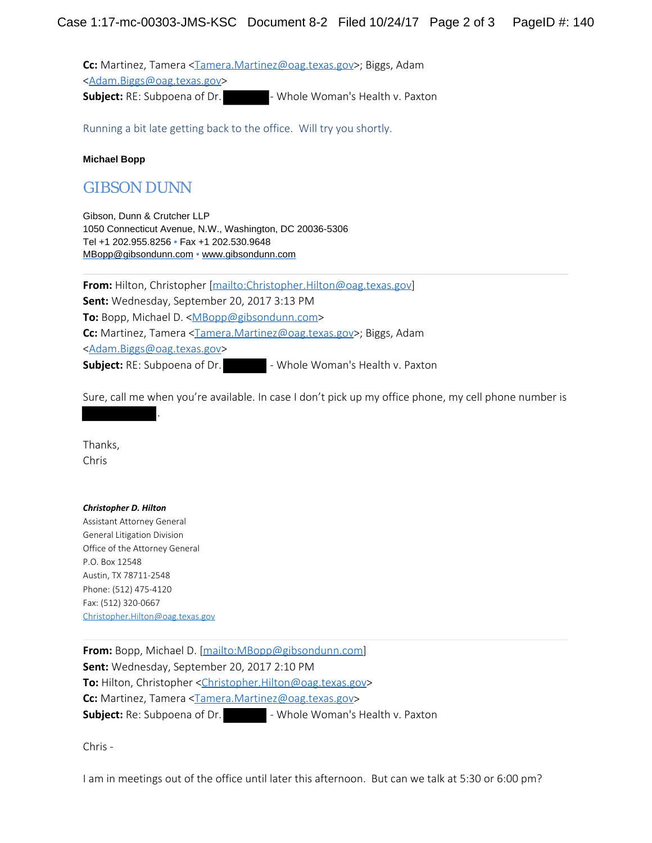Cc: Martinez, Tamera [<Tamera.Martinez@oag.texas.gov](mailto:Tamera.Martinez@oag.texas.gov)>; Biggs, Adam [<Adam.Biggs@oag.texas.gov](mailto:Adam.Biggs@oag.texas.gov)> **Subject:** RE: Subpoena of Dr. **- Whole Woman's Health v. Paxton** 

Running a bit late getting back to the office. Will try you shortly.

### **Michael Bopp**

# GIBSON DUNN

Gibson, Dunn & Crutcher LLP 1050 Connecticut Avenue, N.W., Washington, DC 20036-5306 Tel +1 202.955.8256 **•** Fax +1 202.530.9648 [MBopp@gibsondunn.com](mailto:MBopp@gibsondunn.com) • [www.gibsondunn.com](https://urldefense.proofpoint.com/v2/url?u=http-3A__www.gibsondunn.com&d=DwMFAg&c=Z_mC1sqOcfBCM1ZptXokOj7_ss37GsaAMzCZyvOxKN4&r=5irXdVoZG0mBAIDL3TEXYh4yOyN0Pfd3ToDoBL_QIk0&m=JtzwQhxRD7vglkKnkdOkYd8sdkBItFPT_MmWozShfSQ&s=c_-7rFuj37EecBWPk_RmUkv0jn7Nq1gBmYAYwR0v6OM&e=)

**From:** Hilton, Christopher [<mailto:Christopher.Hilton@oag.texas.gov>] **Sent:** Wednesday, September 20, 2017 3:13 PM **To:** Bopp, Michael D. [<MBopp@gibsondunn.com](mailto:MBopp@gibsondunn.com)> Cc: Martinez, Tamera [<Tamera.Martinez@oag.texas.gov](mailto:Tamera.Martinez@oag.texas.gov)>; Biggs, Adam [<Adam.Biggs@oag.texas.gov](mailto:Adam.Biggs@oag.texas.gov)> **Subject:** RE: Subpoena of Dr. **- Whole Woman's Health v. Paxton** 

Sure, call me when you're available. In case I don't pick up my office phone, my cell phone number is

Thanks, Chris

### *Christopher D. Hilton*

Assistant Attorney General General Litigation Division Office of the Attorney General P.O. Box 12548 Austin, TX 78711-2548 Phone: (512) 475-4120 Fax: (512) 320-0667 [Christopher.Hilton@oag.texas.gov](mailto:Christopher.Hilton@oag.texas.gov)

.

**From:** Bopp, Michael D. [[mailto:MBopp@gibsondunn.com\]](mailto:MBopp@gibsondunn.com) **Sent:** Wednesday, September 20, 2017 2:10 PM **To:** Hilton, Christopher [<Christopher.Hilton@oag.texas.gov](mailto:Christopher.Hilton@oag.texas.gov)> **Cc:** Martinez, Tamera [<Tamera.Martinez@oag.texas.gov](mailto:Tamera.Martinez@oag.texas.gov)> **Subject:** Re: Subpoena of Dr. **Notable Woman's Health v. Paxton** 

Chris -

I am in meetings out of the office until later this afternoon. But can we talk at 5:30 or 6:00 pm?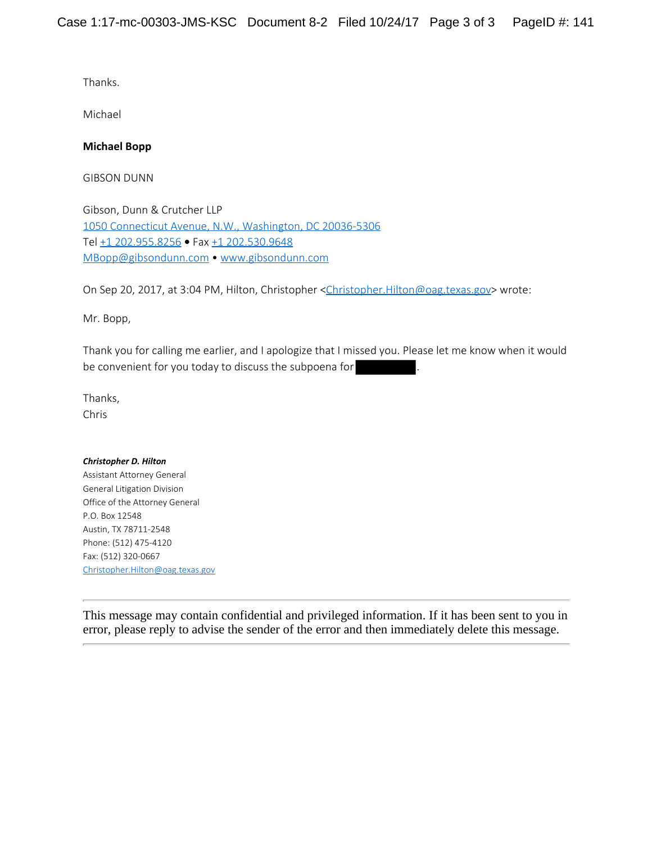Thanks.

Michael

## **Michael Bopp**

GIBSON DUNN

Gibson, Dunn & Crutcher LLP 1050 Connecticut Avenue, N.W., [Washington,](x-apple-data-detectors://2/0) DC 20036-5306 Tel +1 [202.955.8256](tel:+1%20202.955.8256) **•** Fax +1 [202.530.9648](tel:+1%20202.530.9648) [MBopp@gibsondunn.com](mailto:MBopp@gibsondunn.com) • [www.gibsondunn.com](https://urldefense.proofpoint.com/v2/url?u=http-3A__www.gibsondunn.com_&d=DwMFAg&c=Z_mC1sqOcfBCM1ZptXokOj7_ss37GsaAMzCZyvOxKN4&r=5irXdVoZG0mBAIDL3TEXYh4yOyN0Pfd3ToDoBL_QIk0&m=EBE7rYP6EnWnQdsbn8-cTg54D_2ZhAOrOkPoSqMJ9EM&s=8Y2nI95yLUlFAVj-cWDlcixxYDYDnbuoh0tqXeONvGY&e=)

On Sep 20, 2017, at 3:04 PM, Hilton, Christopher [<Christopher.Hilton@oag.texas.gov](mailto:Christopher.Hilton@oag.texas.gov)> wrote:

Mr. Bopp,

Thank you for calling me earlier, and I apologize that I missed you. Please let me know when it would be convenient for you today to discuss the subpoena for

Thanks, Chris

### *Christopher D. Hilton*

Assistant Attorney General General Litigation Division Office of the Attorney General P.O. Box 12548 Austin, TX 78711-2548 Phone: (512) 475-4120 Fax: (512) 320-0667 [Christopher.Hilton@oag.texas.gov](mailto:Christopher.Hilton@oag.texas.gov)

This message may contain confidential and privileged information. If it has been sent to you in error, please reply to advise the sender of the error and then immediately delete this message.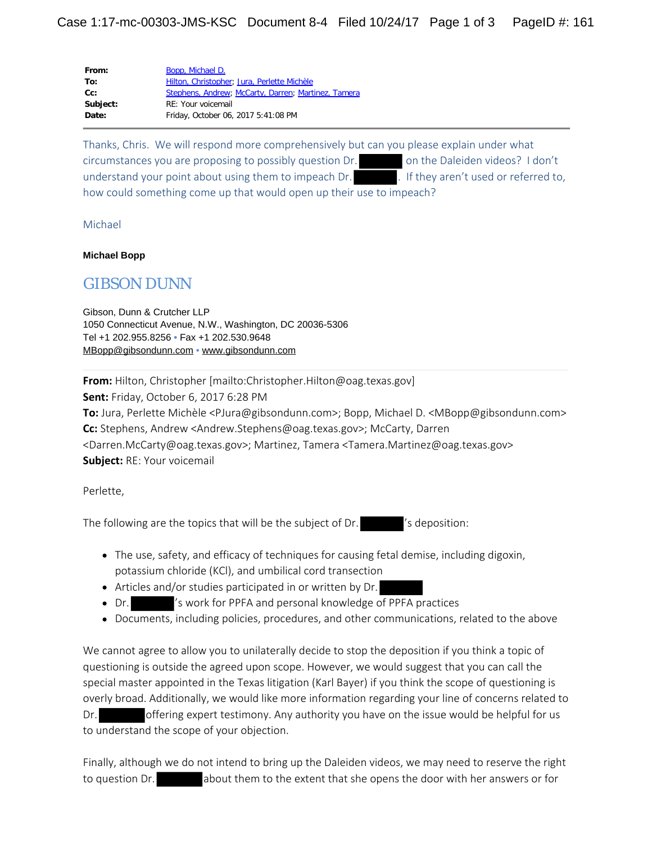| From:    | Bopp, Michael D.                                    |
|----------|-----------------------------------------------------|
| To:      | Hilton, Christopher; Jura, Perlette Michèle         |
| $Cc$ :   | Stephens, Andrew; McCarty, Darren; Martinez, Tamera |
| Subject: | RE: Your voicemail                                  |
| Date:    | Friday, October 06, 2017 5:41:08 PM                 |
|          |                                                     |

Thanks, Chris. We will respond more comprehensively but can you please explain under what circumstances you are proposing to possibly question Dr. on the Daleiden videos? I don't understand your point about using them to impeach Dr. **If they aren't used or referred to**, how could something come up that would open up their use to impeach?

Michael

#### **Michael Bopp**

# GIBSON DUNN

Gibson, Dunn & Crutcher LLP 1050 Connecticut Avenue, N.W., Washington, DC 20036-5306 Tel +1 202.955.8256 **•** Fax +1 202.530.9648 [MBopp@gibsondunn.com](mailto:MBopp@gibsondunn.com) • [www.gibsondunn.com](https://urldefense.proofpoint.com/v2/url?u=http-3A__www.gibsondunn.com&d=DwMFAw&c=Z_mC1sqOcfBCM1ZptXokOj7_ss37GsaAMzCZyvOxKN4&r=5irXdVoZG0mBAIDL3TEXYh4yOyN0Pfd3ToDoBL_QIk0&m=H3-Q163GZu-OUw1NCfsrmjEsGcjLQ3azwZ7SbQjVGk4&s=hN8-ha2TLMS6XBTvKKqdumoNmJYcwcjDhqDQ77gVxfg&e=)

**From:** Hilton, Christopher [mailto:Christopher.Hilton@oag.texas.gov] **Sent:** Friday, October 6, 2017 6:28 PM **To:** Jura, Perlette Michèle <PJura@gibsondunn.com>; Bopp, Michael D. <MBopp@gibsondunn.com> **Cc:** Stephens, Andrew <Andrew.Stephens@oag.texas.gov>; McCarty, Darren

<Darren.McCarty@oag.texas.gov>; Martinez, Tamera <Tamera.Martinez@oag.texas.gov> **Subject:** RE: Your voicemail

Perlette,

The following are the topics that will be the subject of Dr. 's deposition:

- The use, safety, and efficacy of techniques for causing fetal demise, including digoxin, potassium chloride (KCl), and umbilical cord transection
- Articles and/or studies participated in or written by Dr.
- Dr. 's work for PPFA and personal knowledge of PPFA practices
- Documents, including policies, procedures, and other communications, related to the above

We cannot agree to allow you to unilaterally decide to stop the deposition if you think a topic of questioning is outside the agreed upon scope. However, we would suggest that you can call the special master appointed in the Texas litigation (Karl Bayer) if you think the scope of questioning is overly broad. Additionally, we would like more information regarding your line of concerns related to Dr. offering expert testimony. Any authority you have on the issue would be helpful for us to understand the scope of your objection.

Finally, although we do not intend to bring up the Daleiden videos, we may need to reserve the right to question Dr. **about them to the extent that she opens the door with her answers or for**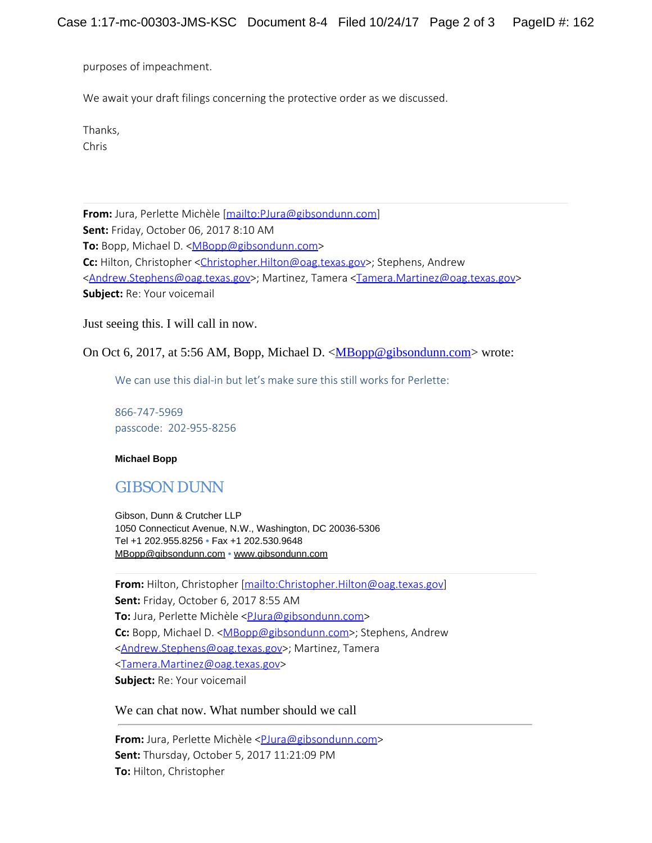purposes of impeachment.

We await your draft filings concerning the protective order as we discussed.

Thanks,

Chris

**From:** Jura, Perlette Michèle [\[mailto:PJura@gibsondunn.com](mailto:PJura@gibsondunn.com)] **Sent:** Friday, October 06, 2017 8:10 AM To: Bopp, Michael D. [<MBopp@gibsondunn.com](mailto:MBopp@gibsondunn.com)> C: Hilton, Christopher [<Christopher.Hilton@oag.texas.gov](mailto:Christopher.Hilton@oag.texas.gov)>; Stephens, Andrew [<Andrew.Stephens@oag.texas.gov](mailto:Andrew.Stephens@oag.texas.gov)>; Martinez, Tamera <[Tamera.Martinez@oag.texas.gov](mailto:Tamera.Martinez@oag.texas.gov)> **Subject:** Re: Your voicemail

Just seeing this. I will call in now.

On Oct 6, 2017, at 5:56 AM, Bopp, Michael D. [<MBopp@gibsondunn.com](mailto:MBopp@gibsondunn.com)> wrote:

We can use this dial-in but let's make sure this still works for Perlette:

866-747-5969 passcode: 202-955-8256

**Michael Bopp**

# GIBSON DUNN

Gibson, Dunn & Crutcher LLP 1050 Connecticut Avenue, N.W., Washington, DC 20036-5306 Tel +1 202.955.8256 **•** Fax +1 202.530.9648 [MBopp@gibsondunn.com](mailto:MBopp@gibsondunn.com) • [www.gibsondunn.com](https://urldefense.proofpoint.com/v2/url?u=http-3A__www.gibsondunn.com&d=DwMFAw&c=Z_mC1sqOcfBCM1ZptXokOj7_ss37GsaAMzCZyvOxKN4&r=5irXdVoZG0mBAIDL3TEXYh4yOyN0Pfd3ToDoBL_QIk0&m=E7TICKE7_sarHApp2_4QY-CDQvFfF5z4KVoxbwSBD7o&s=Vt4CNrfm_tcHSoez44r7P6ZnVCcHrw726UNZ8NhZ_eg&e=)

**From:** Hilton, Christopher [<mailto:Christopher.Hilton@oag.texas.gov>] **Sent:** Friday, October 6, 2017 8:55 AM **To:** Jura, Perlette Michèle <*PJura@gibsondunn.com>* Cc: Bopp, Michael D. [<MBopp@gibsondunn.com](mailto:MBopp@gibsondunn.com)>; Stephens, Andrew [<Andrew.Stephens@oag.texas.gov](mailto:Andrew.Stephens@oag.texas.gov)>; Martinez, Tamera [<Tamera.Martinez@oag.texas.gov](mailto:Tamera.Martinez@oag.texas.gov)> **Subject:** Re: Your voicemail

We can chat now. What number should we call

**From:** Jura, Perlette Michèle <*[PJura@gibsondunn.com>](mailto:PJura@gibsondunn.com)* **Sent:** Thursday, October 5, 2017 11:21:09 PM **To:** Hilton, Christopher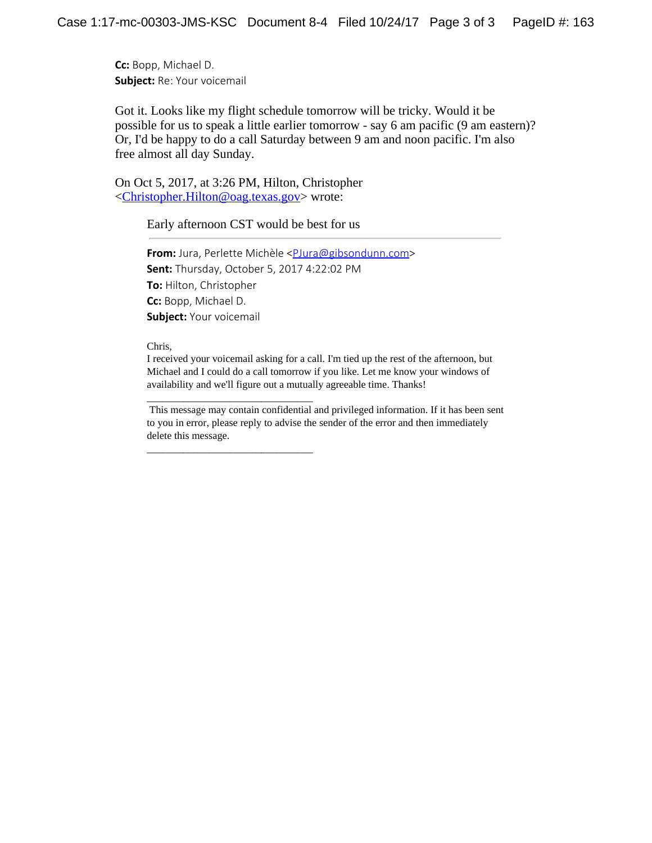**Cc:** Bopp, Michael D. **Subject:** Re: Your voicemail

Got it. Looks like my flight schedule tomorrow will be tricky. Would it be possible for us to speak a little earlier tomorrow - say 6 am pacific (9 am eastern)? Or, I'd be happy to do a call Saturday between 9 am and noon pacific. I'm also free almost all day Sunday.

On Oct 5, 2017, at 3:26 PM, Hilton, Christopher <[Christopher.Hilton@oag.texas.gov](mailto:Christopher.Hilton@oag.texas.gov)> wrote:

 $\overline{\phantom{a}}$  , and the set of the set of the set of the set of the set of the set of the set of the set of the set of the set of the set of the set of the set of the set of the set of the set of the set of the set of the s

 $\overline{\phantom{a}}$  , and the set of the set of the set of the set of the set of the set of the set of the set of the set of the set of the set of the set of the set of the set of the set of the set of the set of the set of the s

Early afternoon CST would be best for us

**From:** Jura, Perlette Michèle <[PJura@gibsondunn.com>](mailto:PJura@gibsondunn.com) **Sent:** Thursday, October 5, 2017 4:22:02 PM **To:** Hilton, Christopher **Cc:** Bopp, Michael D. **Subject:** Your voicemail

Chris,

I received your voicemail asking for a call. I'm tied up the rest of the afternoon, but Michael and I could do a call tomorrow if you like. Let me know your windows of availability and we'll figure out a mutually agreeable time. Thanks!

 This message may contain confidential and privileged information. If it has been sent to you in error, please reply to advise the sender of the error and then immediately delete this message.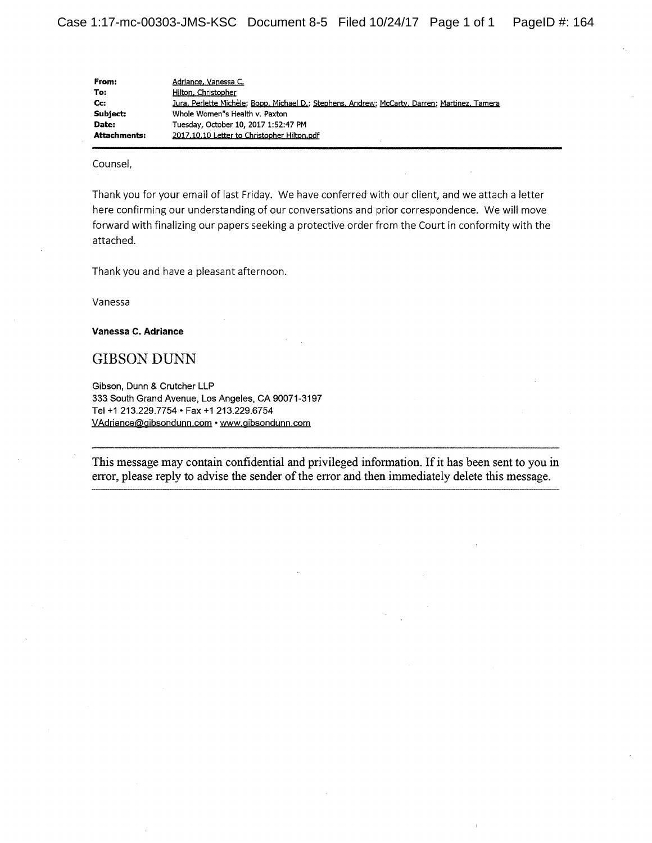| From:        | Adriance, Vanessa C.                                                                          |
|--------------|-----------------------------------------------------------------------------------------------|
| To:          | Hilton, Christopher                                                                           |
| Cc:          | Jura, Perlette Michèle; Bopp, Michael D.; Stephens, Andrew; McCarty, Darren; Martinez, Tamera |
| Subiect:     | Whole Women"s Health v. Paxton                                                                |
| Date:        | Tuesday, October 10, 2017 1:52:47 PM                                                          |
| Attachments: | 2017.10.10 Letter to Christopher Hilton.pdf                                                   |

Counsel,

Thank you for your email of last Friday. We have conferred with our client, and we attach a letter here confirming our understanding of our conversations and prior correspondence. We will move forward with finalizing our papers seeking a protective order from the Court in conformity with the attached.

Thank you and have a pleasant afternoon.

Vanessa

Vanessa C. Adriance

**GIBSON DUNN** 

Gibson, Dunn & Crutcher LLP 333 South Grand Avenue, Los Angeles, CA 90071-3197 Tel +1 213.229.7754 • Fax +1 213.229.6754 VAdriance@gibsondunn.com · www.gibsondunn.com

This message may contain confidential and privileged information. If it has been sent to you in error, please reply to advise the sender of the error and then immediately delete this message.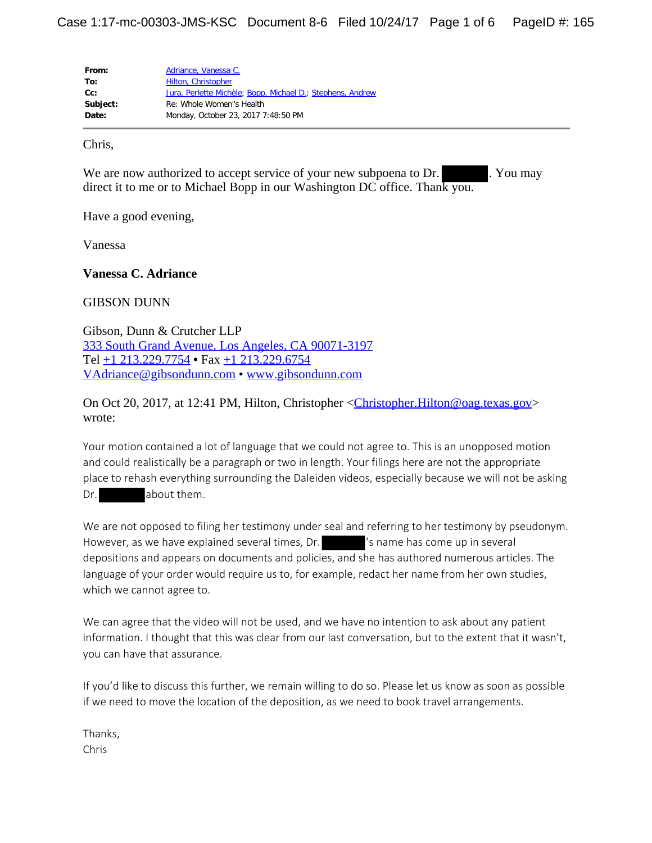| From:    | Adriance, Vanessa C.                                       |
|----------|------------------------------------------------------------|
| To:      | Hilton, Christopher                                        |
| $Cc$ :   | Jura, Perlette Michèle; Bopp, Michael D.; Stephens, Andrew |
| Subject: | Re: Whole Women"s Health                                   |
| Date:    | Monday, October 23, 2017 7:48:50 PM                        |

Chris,

We are now authorized to accept service of your new subpoena to Dr. . You may direct it to me or to Michael Bopp in our Washington DC office. Thank you.

Have a good evening,

Vanessa

**Vanessa C. Adriance**

GIBSON DUNN

Gibson, Dunn & Crutcher LLP 333 South Grand Avenue, Los Angeles, CA [90071-3197](x-apple-data-detectors://1/0) Tel +1 [213.229.7754](tel:+1%20213.229.7754) **•** Fax +1 [213.229.6754](tel:+1%20213.229.6754) [VAdriance@gibsondunn.com](mailto:VAdriance@gibsondunn.com) • [www.gibsondunn.com](https://urldefense.proofpoint.com/v2/url?u=http-3A__www.gibsondunn.com_&d=DwMF-g&c=Z_mC1sqOcfBCM1ZptXokOj7_ss37GsaAMzCZyvOxKN4&r=5irXdVoZG0mBAIDL3TEXYh4yOyN0Pfd3ToDoBL_QIk0&m=PlphdgTL2q8Zr-n9D757GFTz10-fDTjIG0-VytwdBXE&s=fUMOurW2gRRgyHnNuliQxAUvyn6idtRs-AxIOJR3kQ4&e=)

On Oct 20, 2017, at 12:41 PM, Hilton, Christopher [<Christopher.Hilton@oag.texas.gov](mailto:Christopher.Hilton@oag.texas.gov)> wrote:

Your motion contained a lot of language that we could not agree to. This is an unopposed motion and could realistically be a paragraph or two in length. Your filings here are not the appropriate place to rehash everything surrounding the Daleiden videos, especially because we will not be asking Dr. about them.

We are not opposed to filing her testimony under seal and referring to her testimony by pseudonym. However, as we have explained several times, Dr. 'S name has come up in several depositions and appears on documents and policies, and she has authored numerous articles. The language of your order would require us to, for example, redact her name from her own studies, which we cannot agree to.

We can agree that the video will not be used, and we have no intention to ask about any patient information. I thought that this was clear from our last conversation, but to the extent that it wasn't, you can have that assurance.

If you'd like to discuss this further, we remain willing to do so. Please let us know as soon as possible if we need to move the location of the deposition, as we need to book travel arrangements.

Thanks, Chris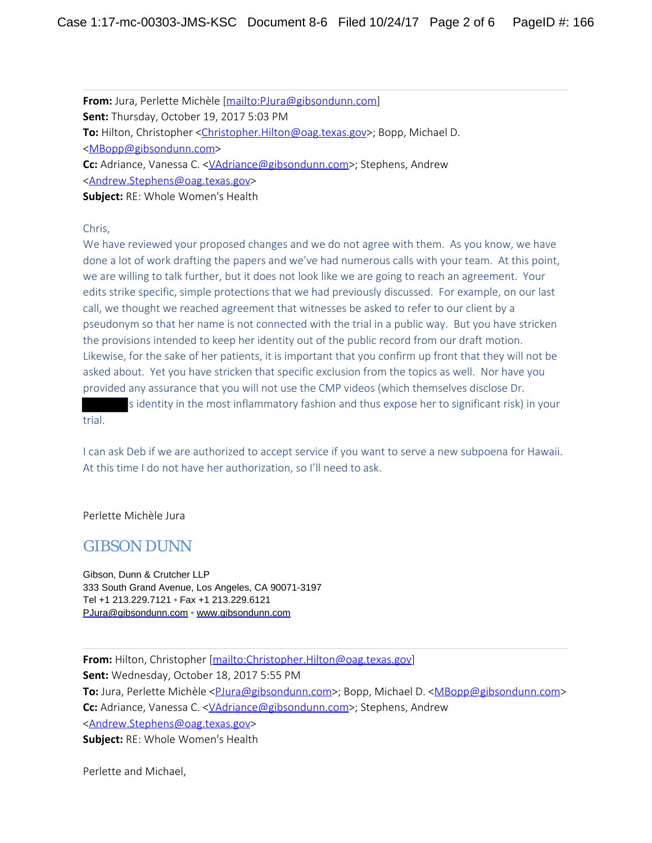**From:** Jura, Perlette Michèle [\[mailto:PJura@gibsondunn.com](mailto:PJura@gibsondunn.com)] **Sent:** Thursday, October 19, 2017 5:03 PM To: Hilton, Christopher [<Christopher.Hilton@oag.texas.gov](mailto:Christopher.Hilton@oag.texas.gov)>; Bopp, Michael D. [<MBopp@gibsondunn.com](mailto:MBopp@gibsondunn.com)> **Cc:** Adriance, Vanessa C. <<u>VAdriance@gibsondunn.com</u>>; Stephens, Andrew [<Andrew.Stephens@oag.texas.gov](mailto:Andrew.Stephens@oag.texas.gov)> **Subject:** RE: Whole Women's Health

### Chris,

We have reviewed your proposed changes and we do not agree with them. As you know, we have done a lot of work drafting the papers and we've had numerous calls with your team. At this point, we are willing to talk further, but it does not look like we are going to reach an agreement. Your edits strike specific, simple protections that we had previously discussed. For example, on our last call, we thought we reached agreement that witnesses be asked to refer to our client by a pseudonym so that her name is not connected with the trial in a public way. But you have stricken the provisions intended to keep her identity out of the public record from our draft motion. Likewise, for the sake of her patients, it is important that you confirm up front that they will not be asked about. Yet you have stricken that specific exclusion from the topics as well. Nor have you provided any assurance that you will not use the CMP videos (which themselves disclose Dr.

s identity in the most inflammatory fashion and thus expose her to significant risk) in your trial.

I can ask Deb if we are authorized to accept service if you want to serve a new subpoena for Hawaii. At this time I do not have her authorization, so I'll need to ask.

Perlette Michèle Jura

## GIBSON DUNN

Gibson, Dunn & Crutcher LLP 333 South Grand Avenue, Los Angeles, CA 90071-3197 Tel +1 213.229.7121 **•** Fax +1 213.229.6121 [PJura@gibsondunn.com](mailto:PJura@gibsondunn.com) • [www.gibsondunn.com](https://urldefense.proofpoint.com/v2/url?u=http-3A__www.gibsondunn.com_&d=DwMFAw&c=Z_mC1sqOcfBCM1ZptXokOj7_ss37GsaAMzCZyvOxKN4&r=5irXdVoZG0mBAIDL3TEXYh4yOyN0Pfd3ToDoBL_QIk0&m=AfClQrqZLZdfRP32h67F8wmuoISLrh7I1C2tKrG8iv8&s=0_GttC7i1taBhp5UQ3_pP_B-BkZ2iJTaQrOOx7aR5xc&e=)

**From:** Hilton, Christopher [<mailto:Christopher.Hilton@oag.texas.gov>] **Sent:** Wednesday, October 18, 2017 5:55 PM **To:** Jura, Perlette Michèle [<PJura@gibsondunn.com>](mailto:PJura@gibsondunn.com); Bopp, Michael D. [<MBopp@gibsondunn.com](mailto:MBopp@gibsondunn.com)> C: Adriance, Vanessa C. [<VAdriance@gibsondunn.com](mailto:VAdriance@gibsondunn.com)>; Stephens, Andrew [<Andrew.Stephens@oag.texas.gov](mailto:Andrew.Stephens@oag.texas.gov)> **Subject:** RE: Whole Women's Health

Perlette and Michael,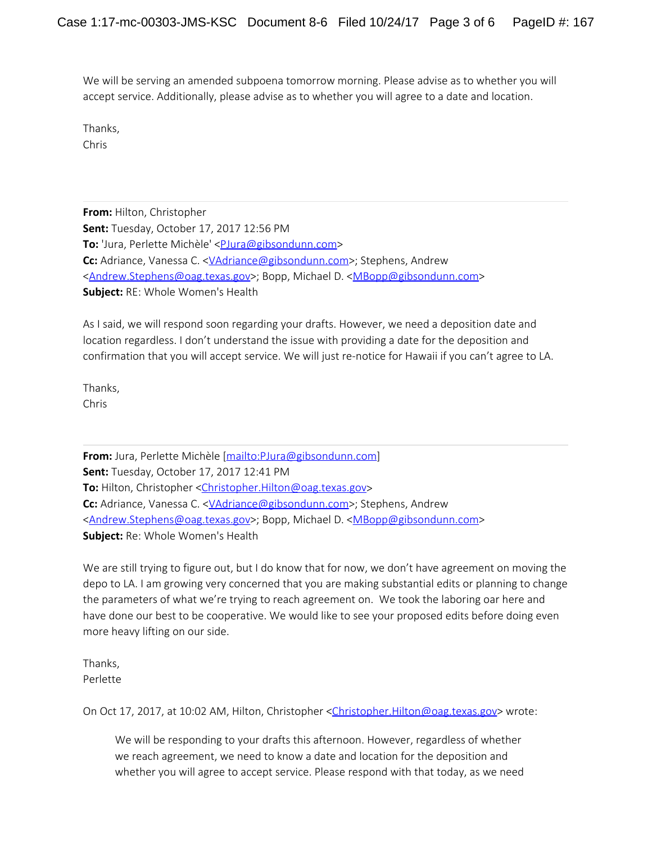We will be serving an amended subpoena tomorrow morning. Please advise as to whether you will accept service. Additionally, please advise as to whether you will agree to a date and location.

Thanks, Chris

**From:** Hilton, Christopher **Sent:** Tuesday, October 17, 2017 12:56 PM To: 'Jura, Perlette Michèle' <**PJura@gibsondunn.com> Cc:** Adriance, Vanessa C. < <u>VAdriance</u>@gibsondunn.com>; Stephens, Andrew [<Andrew.Stephens@oag.texas.gov](mailto:Andrew.Stephens@oag.texas.gov)>; Bopp, Michael D. [<MBopp@gibsondunn.com](mailto:MBopp@gibsondunn.com)> **Subject:** RE: Whole Women's Health

As I said, we will respond soon regarding your drafts. However, we need a deposition date and location regardless. I don't understand the issue with providing a date for the deposition and confirmation that you will accept service. We will just re-notice for Hawaii if you can't agree to LA.

Thanks, Chris

**From:** Jura, Perlette Michèle [\[mailto:PJura@gibsondunn.com](mailto:PJura@gibsondunn.com)] **Sent:** Tuesday, October 17, 2017 12:41 PM **To:** Hilton, Christopher [<Christopher.Hilton@oag.texas.gov](mailto:Christopher.Hilton@oag.texas.gov)> **Cc:** Adriance, Vanessa C. < <u>VAdriance</u>@gibsondunn.com>; Stephens, Andrew [<Andrew.Stephens@oag.texas.gov](mailto:Andrew.Stephens@oag.texas.gov)>; Bopp, Michael D. [<MBopp@gibsondunn.com](mailto:MBopp@gibsondunn.com)> **Subject:** Re: Whole Women's Health

We are still trying to figure out, but I do know that for now, we don't have agreement on moving the depo to LA. I am growing very concerned that you are making substantial edits or planning to change the parameters of what we're trying to reach agreement on. We took the laboring oar here and have done our best to be cooperative. We would like to see your proposed edits before doing even more heavy lifting on our side.

Thanks, Perlette

On Oct 17, 2017, at 10:02 AM, Hilton, Christopher [<Christopher.Hilton@oag.texas.gov](mailto:Christopher.Hilton@oag.texas.gov)> wrote:

We will be responding to your drafts this afternoon. However, regardless of whether we reach agreement, we need to know a date and location for the deposition and whether you will agree to accept service. Please respond with that today, as we need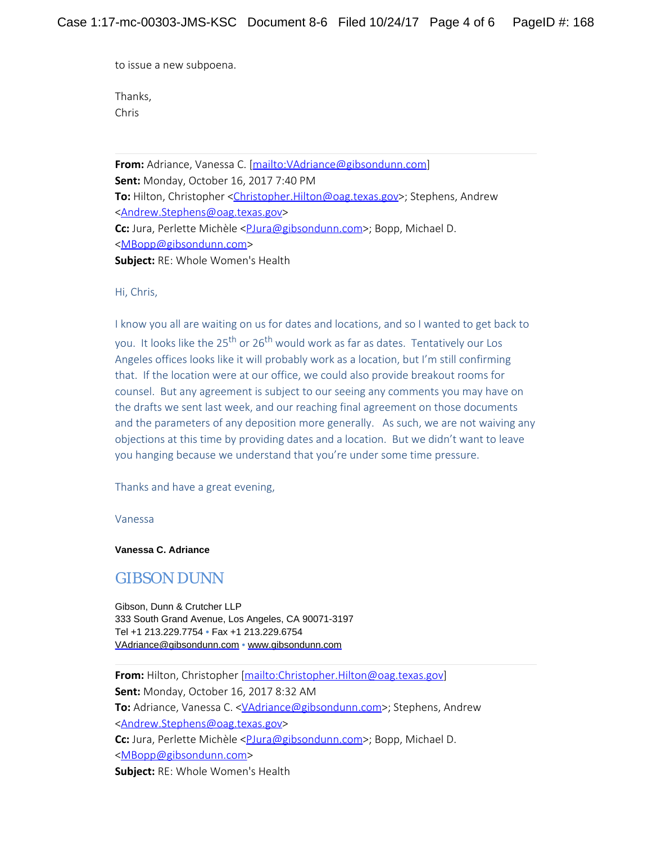to issue a new subpoena.

Thanks, Chris

**From:** Adriance, Vanessa C. [\[mailto:VAdriance@gibsondunn.com](mailto:VAdriance@gibsondunn.com)] **Sent:** Monday, October 16, 2017 7:40 PM **To:** Hilton, Christopher [<Christopher.Hilton@oag.texas.gov](mailto:Christopher.Hilton@oag.texas.gov)>; Stephens, Andrew [<Andrew.Stephens@oag.texas.gov](mailto:Andrew.Stephens@oag.texas.gov)> Cc: Jura, Perlette Michèle [<PJura@gibsondunn.com>](mailto:PJura@gibsondunn.com); Bopp, Michael D. [<MBopp@gibsondunn.com](mailto:MBopp@gibsondunn.com)> **Subject:** RE: Whole Women's Health

Hi, Chris,

I know you all are waiting on us for dates and locations, and so I wanted to get back to you. It looks like the 25<sup>th</sup> or 26<sup>th</sup> would work as far as dates. Tentatively our Los Angeles offices looks like it will probably work as a location, but I'm still confirming that. If the location were at our office, we could also provide breakout rooms for counsel. But any agreement is subject to our seeing any comments you may have on the drafts we sent last week, and our reaching final agreement on those documents and the parameters of any deposition more generally. As such, we are not waiving any objections at this time by providing dates and a location. But we didn't want to leave you hanging because we understand that you're under some time pressure.

Thanks and have a great evening,

Vanessa

### **Vanessa C. Adriance**

## GIBSON DUNN

Gibson, Dunn & Crutcher LLP 333 South Grand Avenue, Los Angeles, CA 90071-3197 Tel +1 213.229.7754 **•** Fax +1 213.229.6754 [VAdriance@gibsondunn.com](mailto:VAdriance@gibsondunn.com) • [www.gibsondunn.com](https://urldefense.proofpoint.com/v2/url?u=http-3A__www.gibsondunn.com&d=DwMFAw&c=Z_mC1sqOcfBCM1ZptXokOj7_ss37GsaAMzCZyvOxKN4&r=5irXdVoZG0mBAIDL3TEXYh4yOyN0Pfd3ToDoBL_QIk0&m=xsrZ70cN9COPS3ExsUpseJ4f_Z1bZF3uVpa5Z1T_24g&s=fx3IS5TF31iEoGQOe0I6aeDsQe5yAkv4FXmjMKTjH0Q&e=)

**From:** Hilton, Christopher [<mailto:Christopher.Hilton@oag.texas.gov>] **Sent:** Monday, October 16, 2017 8:32 AM To: Adriance, Vanessa C. < VAdriance@gibsondunn.com>; Stephens, Andrew [<Andrew.Stephens@oag.texas.gov](mailto:Andrew.Stephens@oag.texas.gov)> **Cc:** Jura, Perlette Michèle [<PJura@gibsondunn.com>](mailto:PJura@gibsondunn.com); Bopp, Michael D. [<MBopp@gibsondunn.com](mailto:MBopp@gibsondunn.com)> **Subject:** RE: Whole Women's Health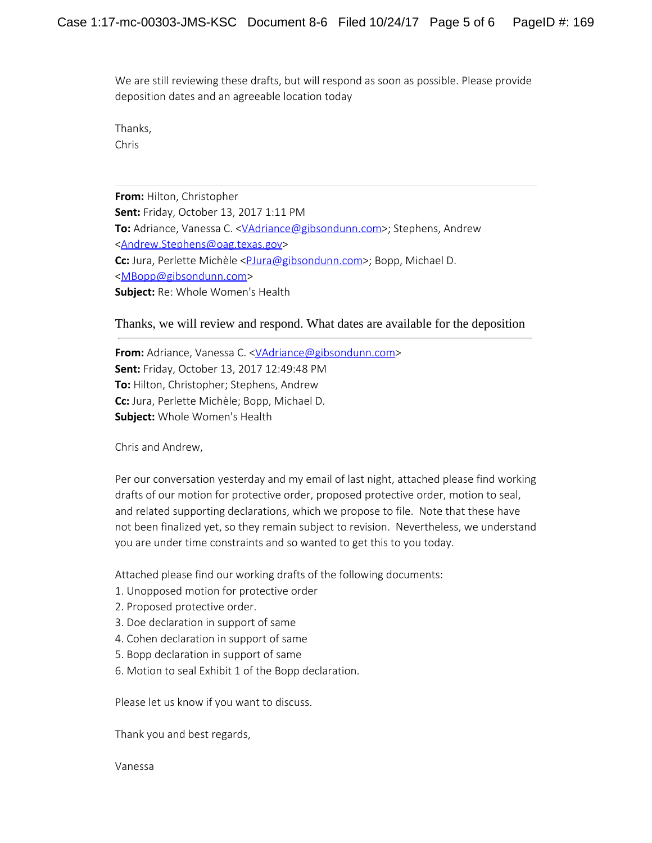We are still reviewing these drafts, but will respond as soon as possible. Please provide deposition dates and an agreeable location today

Thanks, Chris

**From:** Hilton, Christopher **Sent:** Friday, October 13, 2017 1:11 PM To: Adriance, Vanessa C. [<VAdriance@gibsondunn.com](mailto:VAdriance@gibsondunn.com)>; Stephens, Andrew [<Andrew.Stephens@oag.texas.gov](mailto:Andrew.Stephens@oag.texas.gov)> Cc: Jura, Perlette Michèle <*PJura@gibsondunn.com>*; Bopp, Michael D. [<MBopp@gibsondunn.com](mailto:MBopp@gibsondunn.com)> **Subject:** Re: Whole Women's Health

Thanks, we will review and respond. What dates are available for the deposition

**From:** Adriance, Vanessa C. < VAdriance@gibsondunn.com> **Sent:** Friday, October 13, 2017 12:49:48 PM **To:** Hilton, Christopher; Stephens, Andrew **Cc:** Jura, Perlette Michèle; Bopp, Michael D. **Subject:** Whole Women's Health

Chris and Andrew,

Per our conversation yesterday and my email of last night, attached please find working drafts of our motion for protective order, proposed protective order, motion to seal, and related supporting declarations, which we propose to file. Note that these have not been finalized yet, so they remain subject to revision. Nevertheless, we understand you are under time constraints and so wanted to get this to you today.

Attached please find our working drafts of the following documents:

- 1. Unopposed motion for protective order
- 2. Proposed protective order.
- 3. Doe declaration in support of same
- 4. Cohen declaration in support of same
- 5. Bopp declaration in support of same
- 6. Motion to seal Exhibit 1 of the Bopp declaration.

Please let us know if you want to discuss.

Thank you and best regards,

Vanessa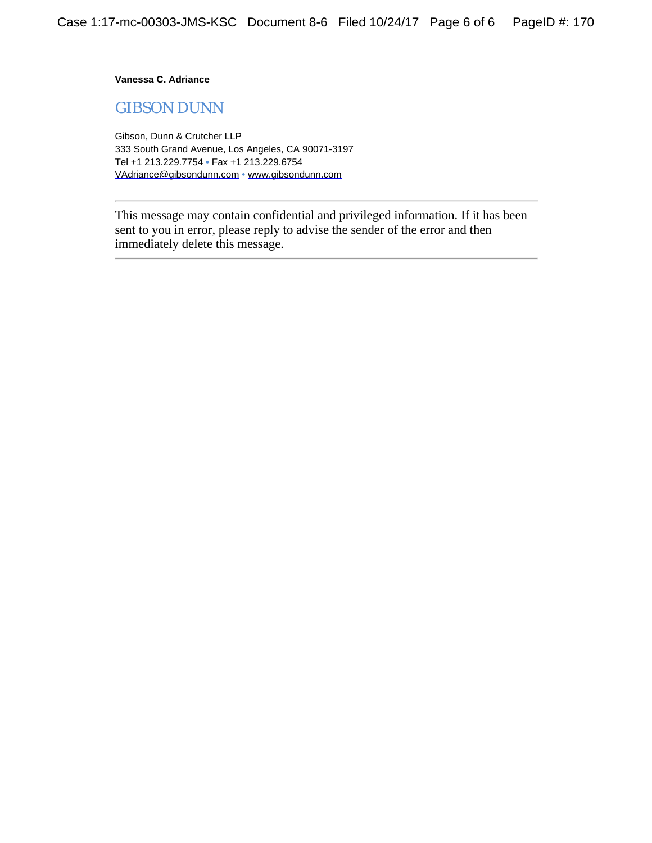**Vanessa C. Adriance**

GIBSON DUNN

Gibson, Dunn & Crutcher LLP 333 South Grand Avenue, Los Angeles, CA 90071-3197 Tel +1 213.229.7754 **•** Fax +1 213.229.6754 [VAdriance@gibsondunn.com](mailto:VAdriance@gibsondunn.com) • [www.gibsondunn.com](https://urldefense.proofpoint.com/v2/url?u=http-3A__www.gibsondunn.com&d=DwMFAw&c=Z_mC1sqOcfBCM1ZptXokOj7_ss37GsaAMzCZyvOxKN4&r=5irXdVoZG0mBAIDL3TEXYh4yOyN0Pfd3ToDoBL_QIk0&m=zv0wEetCV4hp8IufR5Cn94MOlogYyBjCkzq2Wyy6Mtg&s=Sii6ryzM6f_k4bf26vWr-iv5vORhJlMRfbKIr37BUcU&e=)

This message may contain confidential and privileged information. If it has been sent to you in error, please reply to advise the sender of the error and then immediately delete this message.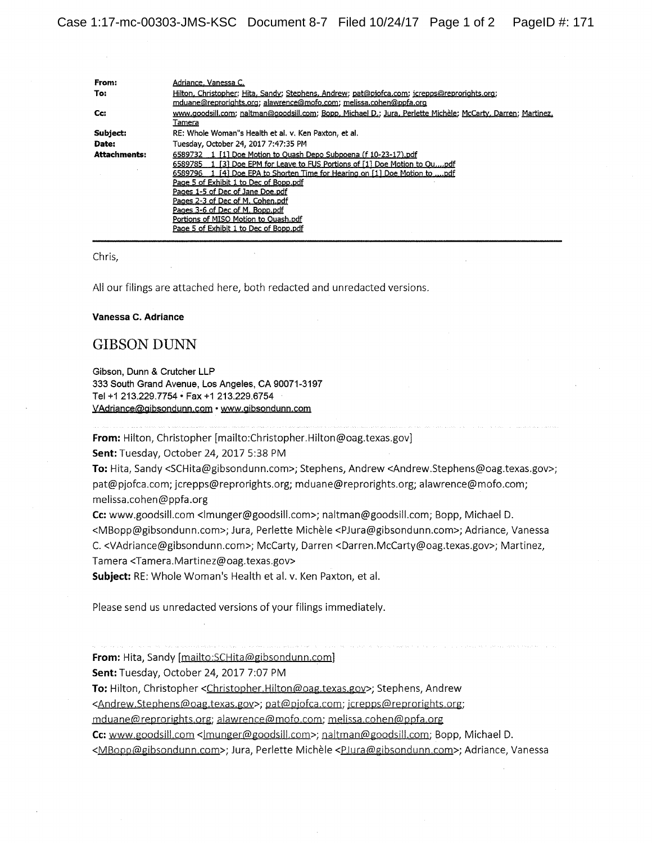| From:               | Adriance, Vanessa C.                                                                                                                                                                                                                                                                                                                                                                                                                                                |
|---------------------|---------------------------------------------------------------------------------------------------------------------------------------------------------------------------------------------------------------------------------------------------------------------------------------------------------------------------------------------------------------------------------------------------------------------------------------------------------------------|
| To:                 | Hilton, Christopher; Hita, Sandy; Stephens, Andrew; pat@pjofca.com; jcrepps@reprorights.org;<br>mduane@reprorights.org; alawrence@mofo.com; melissa.cohen@ppfa.org                                                                                                                                                                                                                                                                                                  |
| Cc:                 | www.goodsill.com; naltman@goodsill.com; Bopp, Michael D.; Jura, Perlette Michèle; McCarty, Darren; Martinez,<br>Tamera                                                                                                                                                                                                                                                                                                                                              |
| Subject:            | RE: Whole Woman"s Health et al. v. Ken Paxton, et al.                                                                                                                                                                                                                                                                                                                                                                                                               |
| Date:               | Tuesday, October 24, 2017 7:47:35 PM                                                                                                                                                                                                                                                                                                                                                                                                                                |
| <b>Attachments:</b> | 6589732 1 [1] Doe Motion to Ouash Depo Subpoena (f 10-23-17) pdf<br>6589785 1 [3] Doe EPM for Leave to FUS Portions of [1] Doe Motion to Oupdf<br>6589796 1 [4] Doe EPA to Shorten Time for Hearing on [1] Doe Motion to pdf<br>Page 5 of Exhibit 1 to Dec of Bopp.pdf<br>Pages 1-5 of Dec of Jane Doe.pdf<br>Pages 2-3 of Dec of M. Cohen.pdf<br>Pages 3-6 of Dec of M. Bopp.pdf<br>Portions of MISO Motion to Ouash.pdf<br>Page 5 of Exhibit 1 to Dec of Bopp.pdf |

#### Chris,

All our filings are attached here, both redacted and unredacted versions.

#### Vanessa C. Adriance

## **GIBSON DUNN**

Gibson, Dunn & Crutcher LLP 333 South Grand Avenue, Los Angeles, CA 90071-3197 Tel +1 213.229.7754 • Fax +1 213.229.6754 VAdriance@gibsondunn.com • www.gibsondunn.com

From: Hilton, Christopher [mailto:Christopher.Hilton@oag.texas.gov]

Sent: Tuesday, October 24, 2017 5:38 PM

To: Hita, Sandy <SCHita@gibsondunn.com>; Stephens, Andrew <Andrew.Stephens@oag.texas.gov>; pat@pjofca.com; jcrepps@reprorights.org; mduane@reprorights.org; alawrence@mofo.com; melissa.cohen@ppfa.org

Cc: www.goodsill.com <lmunger@goodsill.com>; naltman@goodsill.com; Bopp, Michael D. <MBopp@gibsondunn.com>; Jura, Perlette Michèle <PJura@gibsondunn.com>; Adriance, Vanessa C. <VAdriance@gibsondunn.com>; McCarty, Darren <Darren.McCarty@oag.texas.gov>; Martinez, Tamera <Tamera.Martinez@oag.texas.gov>

Subject: RE: Whole Woman's Health et al. v. Ken Paxton, et al.

Please send us unredacted versions of your filings immediately.

From: Hita, Sandy [mailto: SCHita@gibsondunn.com]

Sent: Tuesday, October 24, 2017 7:07 PM

To: Hilton, Christopher <Christopher.Hilton@oag.texas.gov>; Stephens, Andrew

<Andrew.Stephens@oag.texas.gov>; pat@pjofca.com; jcrepps@reprorights.org;

mduane@reprorights.org; alawrence@mofo.com; melissa.cohen@ppfa.org

Cc: www.goodsill.com </nunger@goodsill.com>; naltman@goodsill.com; Bopp, Michael D.

<MBopp@gibsondunn.com>; Jura, Perlette Michèle <PJura@gibsondunn.com>; Adriance, Vanessa